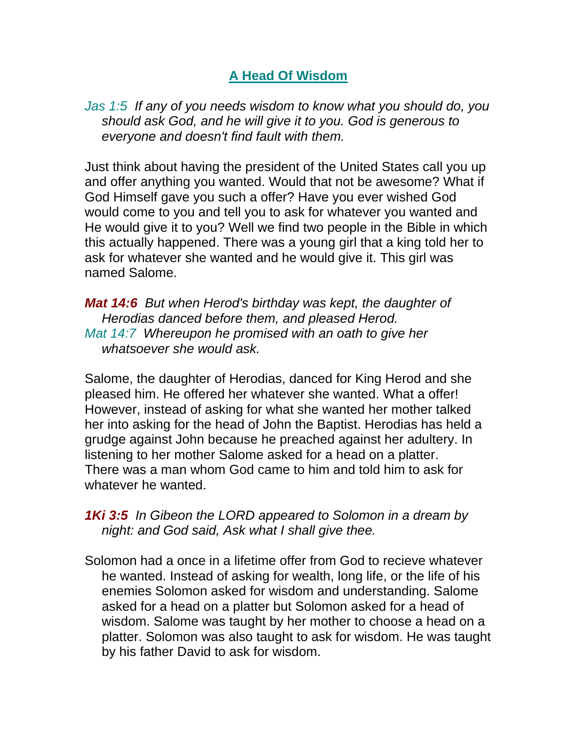## **A Head Of Wisdom**

*Jas 1:5 If any of you needs wisdom to know what you should do, you should ask God, and he will give it to you. God is generous to everyone and doesn't find fault with them.* 

Just think about having the president of the United States call you up and offer anything you wanted. Would that not be awesome? What if God Himself gave you such a offer? Have you ever wished God would come to you and tell you to ask for whatever you wanted and He would give it to you? Well we find two people in the Bible in which this actually happened. There was a young girl that a king told her to ask for whatever she wanted and he would give it. This girl was named Salome.

*Mat 14:6 But when Herod's birthday was kept, the daughter of Herodias danced before them, and pleased Herod. Mat 14:7 Whereupon he promised with an oath to give her whatsoever she would ask.* 

Salome, the daughter of Herodias, danced for King Herod and she pleased him. He offered her whatever she wanted. What a offer! However, instead of asking for what she wanted her mother talked her into asking for the head of John the Baptist. Herodias has held a grudge against John because he preached against her adultery. In listening to her mother Salome asked for a head on a platter. There was a man whom God came to him and told him to ask for whatever he wanted.

*1Ki 3:5 In Gibeon the LORD appeared to Solomon in a dream by night: and God said, Ask what I shall give thee.* 

Solomon had a once in a lifetime offer from God to recieve whatever he wanted. Instead of asking for wealth, long life, or the life of his enemies Solomon asked for wisdom and understanding. Salome asked for a head on a platter but Solomon asked for a head of wisdom. Salome was taught by her mother to choose a head on a platter. Solomon was also taught to ask for wisdom. He was taught by his father David to ask for wisdom.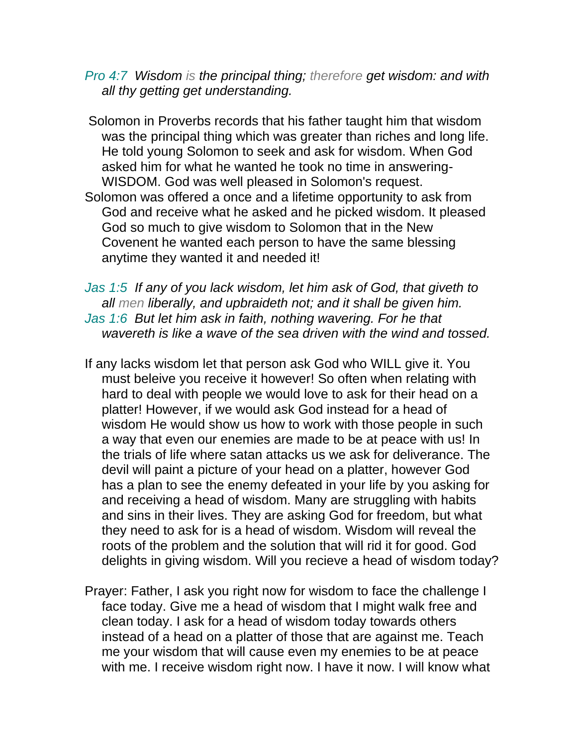*Pro 4:7 Wisdom is the principal thing; therefore get wisdom: and with all thy getting get understanding.* 

Solomon in Proverbs records that his father taught him that wisdom was the principal thing which was greater than riches and long life. He told young Solomon to seek and ask for wisdom. When God asked him for what he wanted he took no time in answering-WISDOM. God was well pleased in Solomon's request. Solomon was offered a once and a lifetime opportunity to ask from God and receive what he asked and he picked wisdom. It pleased God so much to give wisdom to Solomon that in the New Covenent he wanted each person to have the same blessing anytime they wanted it and needed it!

*Jas 1:5 If any of you lack wisdom, let him ask of God, that giveth to all men liberally, and upbraideth not; and it shall be given him. Jas 1:6 But let him ask in faith, nothing wavering. For he that wavereth is like a wave of the sea driven with the wind and tossed.* 

- If any lacks wisdom let that person ask God who WILL give it. You must beleive you receive it however! So often when relating with hard to deal with people we would love to ask for their head on a platter! However, if we would ask God instead for a head of wisdom He would show us how to work with those people in such a way that even our enemies are made to be at peace with us! In the trials of life where satan attacks us we ask for deliverance. The devil will paint a picture of your head on a platter, however God has a plan to see the enemy defeated in your life by you asking for and receiving a head of wisdom. Many are struggling with habits and sins in their lives. They are asking God for freedom, but what they need to ask for is a head of wisdom. Wisdom will reveal the roots of the problem and the solution that will rid it for good. God delights in giving wisdom. Will you recieve a head of wisdom today?
- Prayer: Father, I ask you right now for wisdom to face the challenge I face today. Give me a head of wisdom that I might walk free and clean today. I ask for a head of wisdom today towards others instead of a head on a platter of those that are against me. Teach me your wisdom that will cause even my enemies to be at peace with me. I receive wisdom right now. I have it now. I will know what